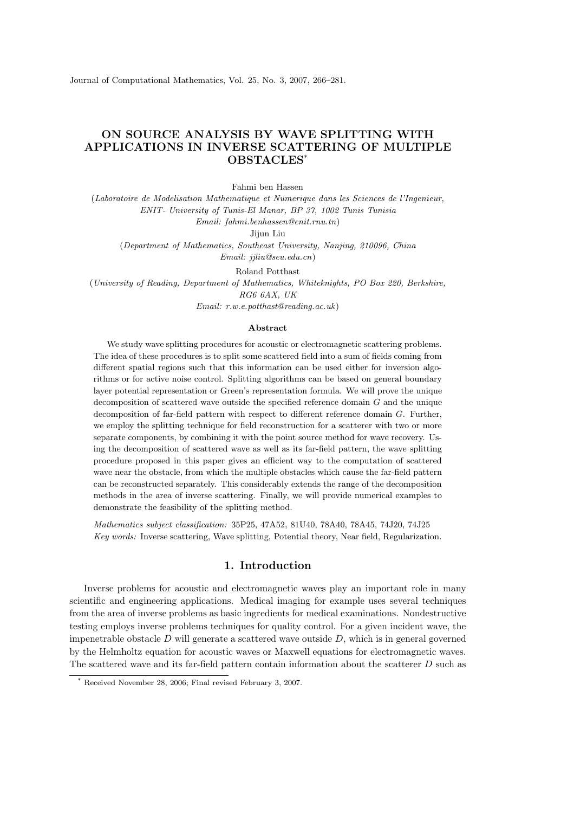## ON SOURCE ANALYSIS BY WAVE SPLITTING WITH APPLICATIONS IN INVERSE SCATTERING OF MULTIPLE OBSTACLES\*

Fahmi ben Hassen

(Laboratoire de Modelisation Mathematique et Numerique dans les Sciences de l'Ingenieur, ENIT- University of Tunis-El Manar, BP 37, 1002 Tunis Tunisia Email: fahmi.benhassen@enit.rnu.tn) Jijun Liu

(Department of Mathematics, Southeast University, Nanjing, 210096, China Email: jjliu@seu.edu.cn)

Roland Potthast

(University of Reading, Department of Mathematics, Whiteknights, PO Box 220, Berkshire, RG6 6AX, UK

Email: r.w.e.potthast@reading.ac.uk)

## Abstract

We study wave splitting procedures for acoustic or electromagnetic scattering problems. The idea of these procedures is to split some scattered field into a sum of fields coming from different spatial regions such that this information can be used either for inversion algorithms or for active noise control. Splitting algorithms can be based on general boundary layer potential representation or Green's representation formula. We will prove the unique decomposition of scattered wave outside the specified reference domain G and the unique decomposition of far-field pattern with respect to different reference domain G. Further, we employ the splitting technique for field reconstruction for a scatterer with two or more separate components, by combining it with the point source method for wave recovery. Using the decomposition of scattered wave as well as its far-field pattern, the wave splitting procedure proposed in this paper gives an efficient way to the computation of scattered wave near the obstacle, from which the multiple obstacles which cause the far-field pattern can be reconstructed separately. This considerably extends the range of the decomposition methods in the area of inverse scattering. Finally, we will provide numerical examples to demonstrate the feasibility of the splitting method.

Mathematics subject classification: 35P25, 47A52, 81U40, 78A40, 78A45, 74J20, 74J25 Key words: Inverse scattering, Wave splitting, Potential theory, Near field, Regularization.

## 1. Introduction

Inverse problems for acoustic and electromagnetic waves play an important role in many scientific and engineering applications. Medical imaging for example uses several techniques from the area of inverse problems as basic ingredients for medical examinations. Nondestructive testing employs inverse problems techniques for quality control. For a given incident wave, the impenetrable obstacle  $D$  will generate a scattered wave outside  $D$ , which is in general governed by the Helmholtz equation for acoustic waves or Maxwell equations for electromagnetic waves. The scattered wave and its far-field pattern contain information about the scatterer D such as

Received November 28, 2006; Final revised February 3, 2007.